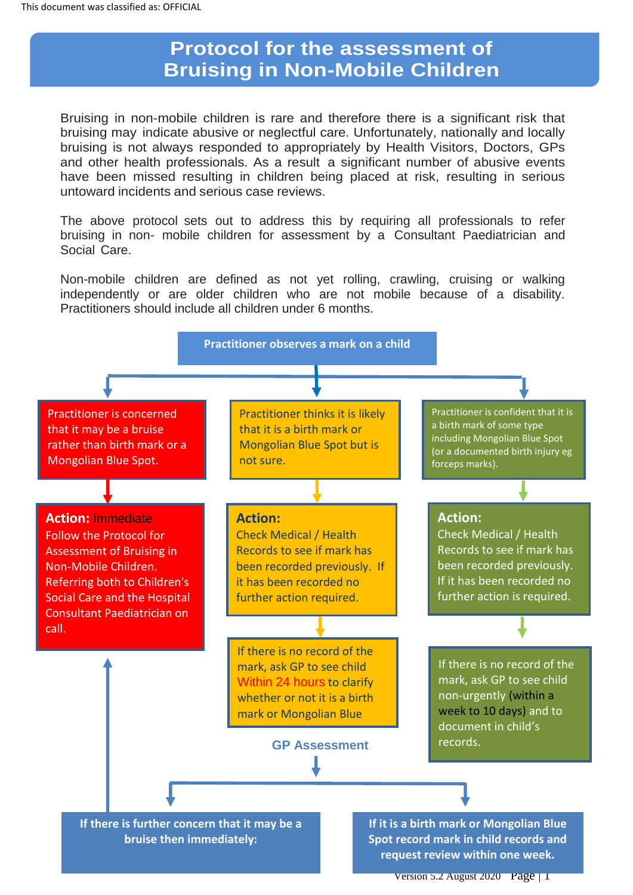# **Protocol for the assessment of Bruising in Non-Mobile Children**

Bruising in non-mobile children is rare and therefore there is a significant risk that bruising may indicate abusive or neglectful care. Unfortunately, nationally and locally bruising is not always responded to appropriately by Health Visitors, Doctors, GPs and other health professionals. As a result a significant number of abusive events have been missed resulting in children being placed at risk, resulting in serious untoward incidents and serious case reviews.

The above protocol sets out to address this by requiring all professionals to refer bruising in non- mobile children for assessment by a Consultant Paediatrician and Social Care.

Non-mobile children are defined as not yet rolling, crawling, cruising or walking independently or are older children who are not mobile because of a disability. Practitioners should include all children under 6 months.



Version 5.2 August 2020 Page | 1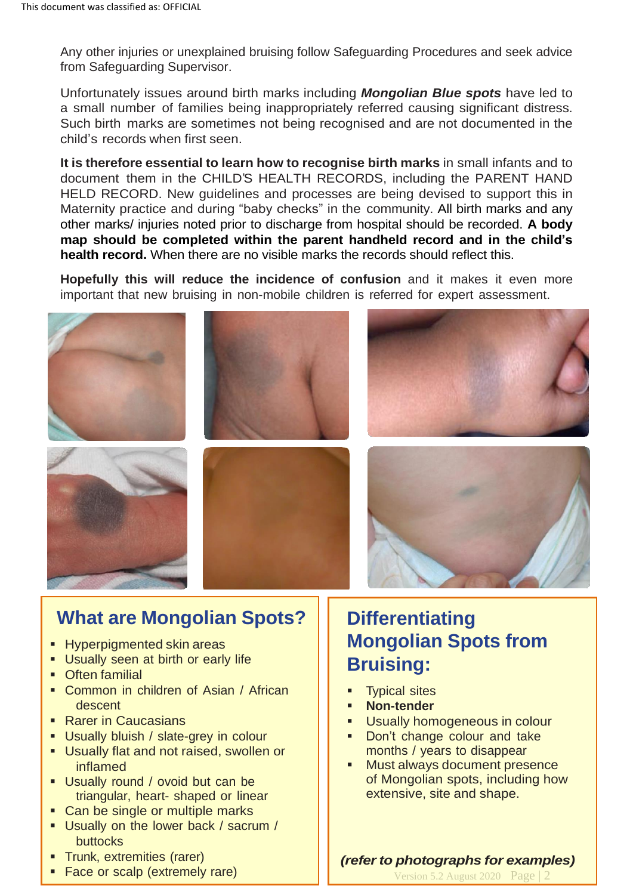Any other injuries or unexplained bruising follow Safeguarding Procedures and seek advice from Safeguarding Supervisor.

Unfortunately issues around birth marks including *Mongolian Blue spots* have led to a small number of families being inappropriately referred causing significant distress. Such birth marks are sometimes not being recognised and are not documented in the child's records when first seen.

**It is therefore essential to learn how to recognise birth marks** in small infants and to document them in the CHILD'S HEALTH RECORDS, including the PARENT HAND HELD RECORD. New guidelines and processes are being devised to support this in Maternity practice and during "baby checks" in the community. All birth marks and any other marks/ injuries noted prior to discharge from hospital should be recorded. **A body map should be completed within the parent handheld record and in the child's health record.** When there are no visible marks the records should reflect this.

**Hopefully this will reduce the incidence of confusion** and it makes it even more important that new bruising in non-mobile children is referred for expert assessment.













# **What are Mongolian Spots?**

- **E** Hyperpigmented skin areas
- **E** Usually seen at birth or early life
- Often familial
- Common in children of Asian / African descent
- Rarer in Caucasians
- **E** Usually bluish / slate-grey in colour
- **E** Usually flat and not raised, swollen or inflamed
- **Usually round / ovoid but can be** triangular, heart- shaped or linear
- Can be single or multiple marks
- **Usually on the lower back / sacrum /** buttocks
- Trunk, extremities (rarer)
- **Face or scalp (extremely rare)**

# **Differentiating Mongolian Spots from Bruising:**

- **EXECUTE:** Typical sites
- **Non-tender**
- Usually homogeneous in colour
- Don't change colour and take months / years to disappear
- Must always document presence of Mongolian spots, including how extensive, site and shape.

#### *(referto photographs for examples)*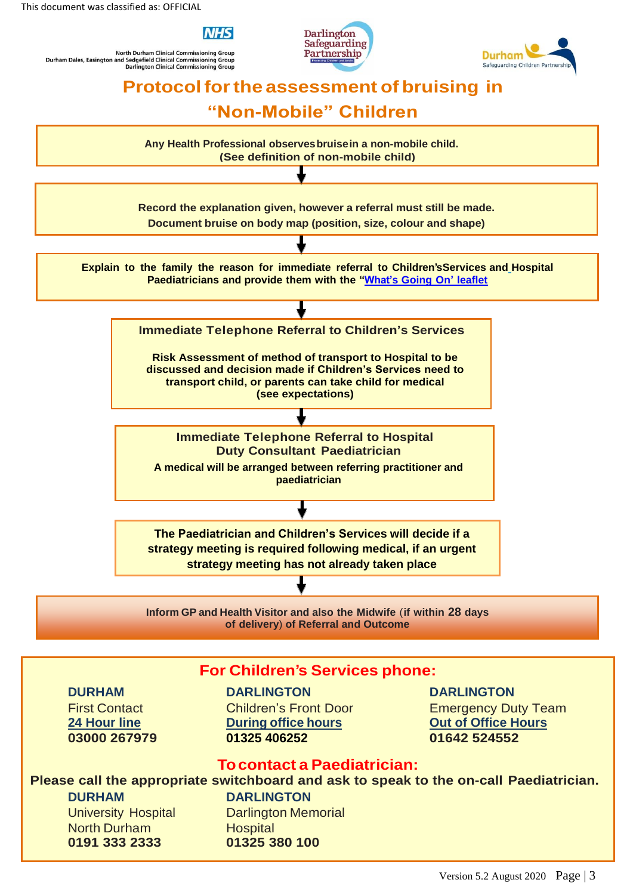

North Durham Clinical Commissioning Group<br>and Sedgefield Clinical Commissioning Group<br>Darlington Clinical Commissioning Group Durham Dales, Easington and





# **Protocolforthe assessment of bruising in**

## **"Non-Mobile" Children**



**of delivery**) **of Referral and Outcome**

### **For Children's Services phone:**

**DURHAM DARLINGTON DARLINGTON 03000 267979 01325 406252 01642 524552**

First Contact Children's Front Door Emergency Duty Team **24 Hour line During office hours Out of Office Hours**

#### **Tocontact a Paediatrician:**

## **Please call the appropriate switchboard and ask to speak to the on-call Paediatrician.**

**DURHAM DARLINGTON** University Hospital Darlington Memorial North Durham Hospital **0191 333 2333 01325 380 100**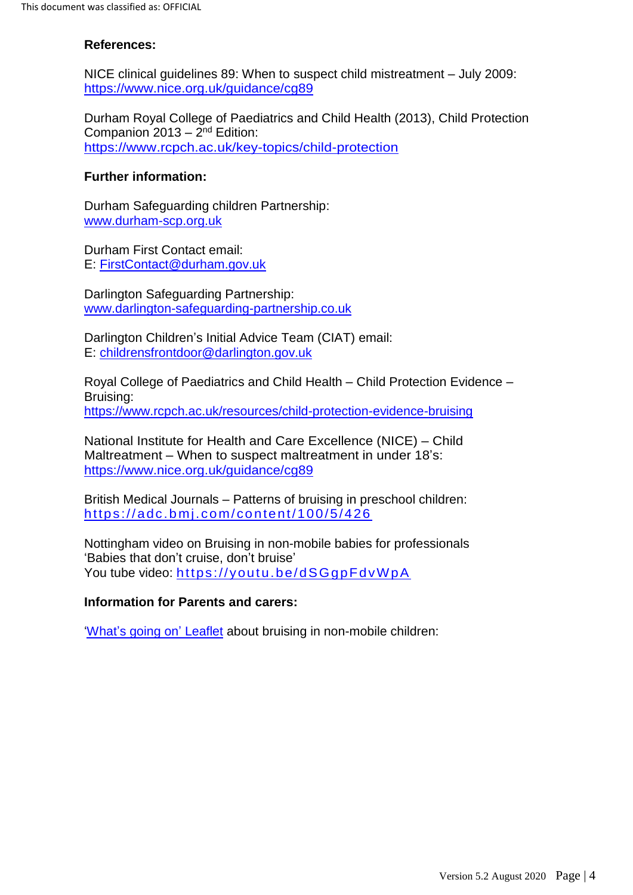#### **References:**

NICE clinical guidelines 89: When to suspect child mistreatment – July 2009: <https://www.nice.org.uk/guidance/cg89>

Durham Royal College of Paediatrics and Child Health (2013), Child Protection Companion 2013 – 2<sup>nd</sup> Edition: <https://www.rcpch.ac.uk/key-topics/child-protection>

#### **Further information:**

Durham Safeguarding children Partnership: [www.durham-scp.org.uk](http://www.durham-scp.org.uk/)

Durham First Contact email: E: [FirstContact@durham.gov.uk](mailto:FirstContact@durham.gov.uk)

Darlington Safeguarding Partnership: [www.darlington-safeguarding-partnership.co.uk](http://www.darlington-safeguarding-partnership.co.uk/)

Darlington Children's Initial Advice Team (CIAT) email: E: [childrensfrontdoor@darlington.gov.uk](mailto:childrensfrontdoor@darlington.gov.uk)

Royal College of Paediatrics and Child Health – Child Protection Evidence – Bruising: <https://www.rcpch.ac.uk/resources/child-protection-evidence-bruising>

National Institute for Health and Care Excellence (NICE) – Child Maltreatment – When to suspect maltreatment in under 18's: <https://www.nice.org.uk/guidance/cg89>

British Medical Journals – Patterns of bruising in preschool children: <https://adc.bmj.com/content/100/5/426>

Nottingham video on Bruising in non-mobile babies for professionals 'Babies that don't cruise, don't bruise' You tube video: <https://youtu.be/dSGgpFdvWpA>

#### **Information for Parents and carers:**

['What's going on'](https://www.darlington-safeguarding-partnership.co.uk/media/1997/bruising-information-for-parents-and-carers-revised-sep-20.pdf) Leaflet about bruising in non-mobile children: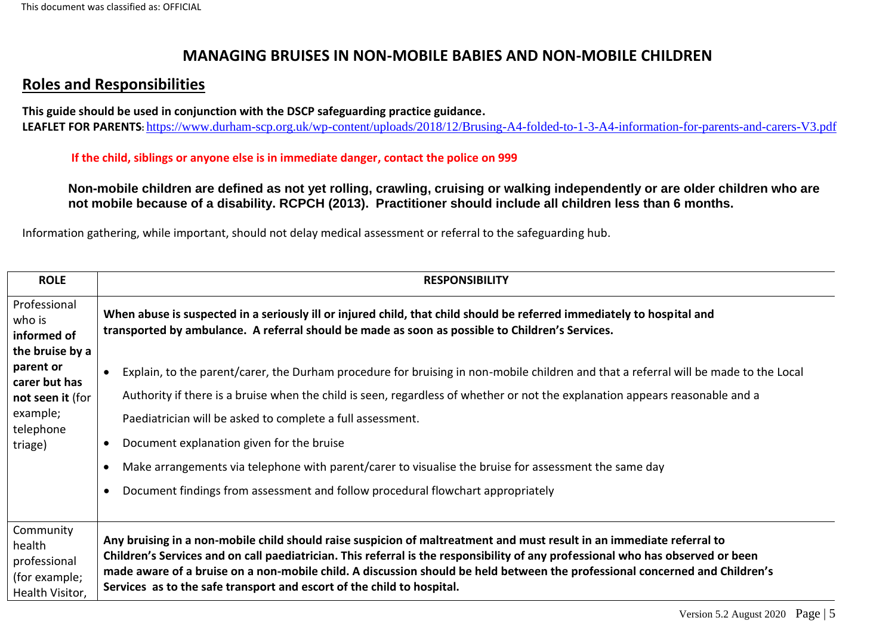## **MANAGING BRUISES IN NON-MOBILE BABIES AND NON-MOBILE CHILDREN**

## **Roles and Responsibilities**

**This guide should be used in conjunction with the DSCP safeguarding practice guidance. LEAFLET FOR PARENTS:** <https://www.durham-scp.org.uk/wp-content/uploads/2018/12/Brusing-A4-folded-to-1-3-A4-information-for-parents-and-carers-V3.pdf>

 **If the child, siblings or anyone else is in immediate danger, contact the police on 999**

**Non-mobile children are defined as not yet rolling, crawling, cruising or walking independently or are older children who are not mobile because of a disability. RCPCH (2013). Practitioner should include all children less than 6 months.** 

Information gathering, while important, should not delay medical assessment or referral to the safeguarding hub.

| <b>ROLE</b>                                                                        | <b>RESPONSIBILITY</b>                                                                                                                                                                                                                                                                                                                                                                                                                                                                                                                                                                    |
|------------------------------------------------------------------------------------|------------------------------------------------------------------------------------------------------------------------------------------------------------------------------------------------------------------------------------------------------------------------------------------------------------------------------------------------------------------------------------------------------------------------------------------------------------------------------------------------------------------------------------------------------------------------------------------|
| Professional<br>who is<br>informed of<br>the bruise by a                           | When abuse is suspected in a seriously ill or injured child, that child should be referred immediately to hospital and<br>transported by ambulance. A referral should be made as soon as possible to Children's Services.                                                                                                                                                                                                                                                                                                                                                                |
| parent or<br>carer but has<br>not seen it (for<br>example;<br>telephone<br>triage) | Explain, to the parent/carer, the Durham procedure for bruising in non-mobile children and that a referral will be made to the Local<br>Authority if there is a bruise when the child is seen, regardless of whether or not the explanation appears reasonable and a<br>Paediatrician will be asked to complete a full assessment.<br>Document explanation given for the bruise<br>$\bullet$<br>Make arrangements via telephone with parent/carer to visualise the bruise for assessment the same day<br>Document findings from assessment and follow procedural flowchart appropriately |
| Community<br>health<br>professional<br>(for example;<br>Health Visitor,            | Any bruising in a non-mobile child should raise suspicion of maltreatment and must result in an immediate referral to<br>Children's Services and on call paediatrician. This referral is the responsibility of any professional who has observed or been<br>made aware of a bruise on a non-mobile child. A discussion should be held between the professional concerned and Children's<br>Services as to the safe transport and escort of the child to hospital.                                                                                                                        |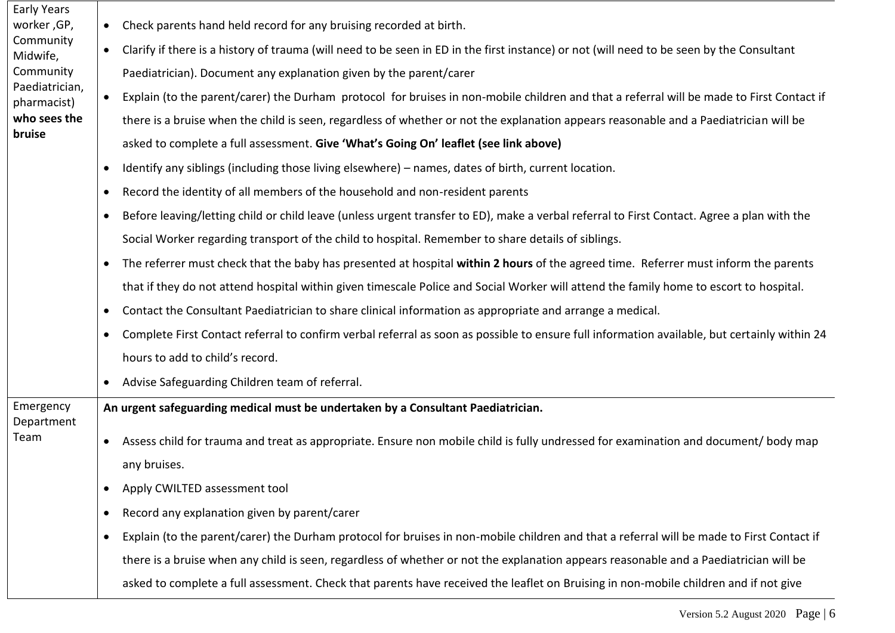| Early Years                                                                                                  |           |                                                                                                                                              |
|--------------------------------------------------------------------------------------------------------------|-----------|----------------------------------------------------------------------------------------------------------------------------------------------|
| worker, GP,<br>Community<br>Midwife,<br>Community<br>Paediatrician,<br>pharmacist)<br>who sees the<br>bruise | $\bullet$ | Check parents hand held record for any bruising recorded at birth.                                                                           |
|                                                                                                              | $\bullet$ | Clarify if there is a history of trauma (will need to be seen in ED in the first instance) or not (will need to be seen by the Consultant    |
|                                                                                                              |           | Paediatrician). Document any explanation given by the parent/carer                                                                           |
|                                                                                                              | $\bullet$ | Explain (to the parent/carer) the Durham protocol for bruises in non-mobile children and that a referral will be made to First Contact if    |
|                                                                                                              |           | there is a bruise when the child is seen, regardless of whether or not the explanation appears reasonable and a Paediatrician will be        |
|                                                                                                              |           | asked to complete a full assessment. Give 'What's Going On' leaflet (see link above)                                                         |
|                                                                                                              | $\bullet$ | Identify any siblings (including those living elsewhere) – names, dates of birth, current location.                                          |
|                                                                                                              | $\bullet$ | Record the identity of all members of the household and non-resident parents                                                                 |
|                                                                                                              | $\bullet$ | Before leaving/letting child or child leave (unless urgent transfer to ED), make a verbal referral to First Contact. Agree a plan with the   |
|                                                                                                              |           | Social Worker regarding transport of the child to hospital. Remember to share details of siblings.                                           |
|                                                                                                              |           | The referrer must check that the baby has presented at hospital within 2 hours of the agreed time. Referrer must inform the parents          |
|                                                                                                              |           | that if they do not attend hospital within given timescale Police and Social Worker will attend the family home to escort to hospital.       |
|                                                                                                              | $\bullet$ | Contact the Consultant Paediatrician to share clinical information as appropriate and arrange a medical.                                     |
|                                                                                                              | $\bullet$ | Complete First Contact referral to confirm verbal referral as soon as possible to ensure full information available, but certainly within 24 |
|                                                                                                              |           | hours to add to child's record.                                                                                                              |
|                                                                                                              | $\bullet$ | Advise Safeguarding Children team of referral.                                                                                               |
| Emergency<br>Department                                                                                      |           | An urgent safeguarding medical must be undertaken by a Consultant Paediatrician.                                                             |
| Team                                                                                                         | $\bullet$ | Assess child for trauma and treat as appropriate. Ensure non mobile child is fully undressed for examination and document/ body map          |
|                                                                                                              |           | any bruises.                                                                                                                                 |
|                                                                                                              | $\bullet$ | Apply CWILTED assessment tool                                                                                                                |
|                                                                                                              | $\bullet$ | Record any explanation given by parent/carer                                                                                                 |
|                                                                                                              | $\bullet$ | Explain (to the parent/carer) the Durham protocol for bruises in non-mobile children and that a referral will be made to First Contact if    |
|                                                                                                              |           | there is a bruise when any child is seen, regardless of whether or not the explanation appears reasonable and a Paediatrician will be        |
|                                                                                                              |           | asked to complete a full assessment. Check that parents have received the leaflet on Bruising in non-mobile children and if not give         |
|                                                                                                              |           |                                                                                                                                              |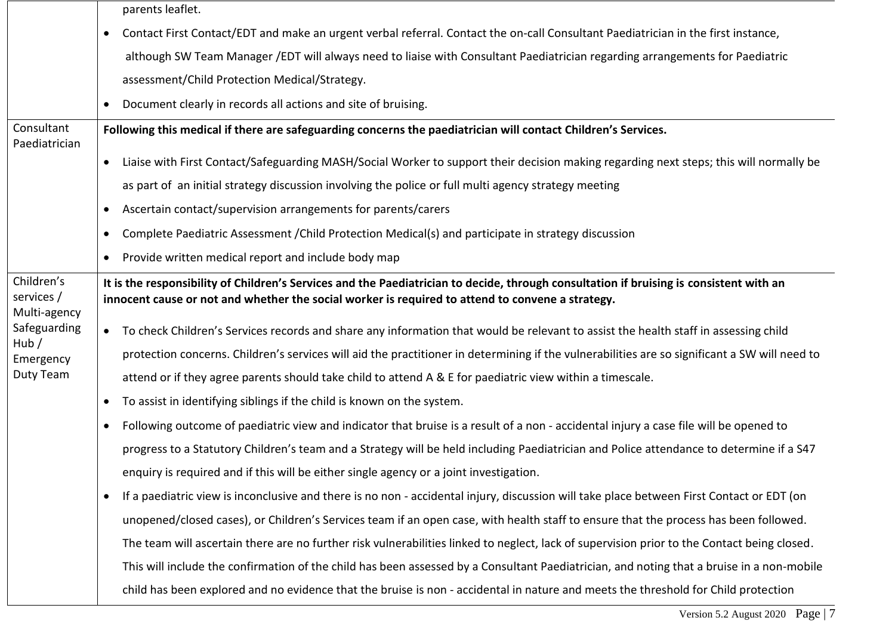|                                          |           | parents leaflet.                                                                                                                                                                                                                            |
|------------------------------------------|-----------|---------------------------------------------------------------------------------------------------------------------------------------------------------------------------------------------------------------------------------------------|
|                                          | $\bullet$ | Contact First Contact/EDT and make an urgent verbal referral. Contact the on-call Consultant Paediatrician in the first instance,                                                                                                           |
|                                          |           | although SW Team Manager /EDT will always need to liaise with Consultant Paediatrician regarding arrangements for Paediatric                                                                                                                |
|                                          |           | assessment/Child Protection Medical/Strategy.                                                                                                                                                                                               |
|                                          | $\bullet$ | Document clearly in records all actions and site of bruising.                                                                                                                                                                               |
| Consultant<br>Paediatrician              |           | Following this medical if there are safeguarding concerns the paediatrician will contact Children's Services.                                                                                                                               |
|                                          | $\bullet$ | Liaise with First Contact/Safeguarding MASH/Social Worker to support their decision making regarding next steps; this will normally be                                                                                                      |
|                                          |           | as part of an initial strategy discussion involving the police or full multi agency strategy meeting                                                                                                                                        |
|                                          | $\bullet$ | Ascertain contact/supervision arrangements for parents/carers                                                                                                                                                                               |
|                                          | $\bullet$ | Complete Paediatric Assessment / Child Protection Medical(s) and participate in strategy discussion                                                                                                                                         |
|                                          | $\bullet$ | Provide written medical report and include body map                                                                                                                                                                                         |
| Children's<br>services /<br>Multi-agency |           | It is the responsibility of Children's Services and the Paediatrician to decide, through consultation if bruising is consistent with an<br>innocent cause or not and whether the social worker is required to attend to convene a strategy. |
| Safeguarding                             |           | • To check Children's Services records and share any information that would be relevant to assist the health staff in assessing child                                                                                                       |
| Hub/<br>Emergency                        |           | protection concerns. Children's services will aid the practitioner in determining if the vulnerabilities are so significant a SW will need to                                                                                               |
| Duty Team                                |           | attend or if they agree parents should take child to attend A & E for paediatric view within a timescale.                                                                                                                                   |
|                                          | $\bullet$ | To assist in identifying siblings if the child is known on the system.                                                                                                                                                                      |
|                                          | $\bullet$ | Following outcome of paediatric view and indicator that bruise is a result of a non - accidental injury a case file will be opened to                                                                                                       |
|                                          |           | progress to a Statutory Children's team and a Strategy will be held including Paediatrician and Police attendance to determine if a S47                                                                                                     |
|                                          |           | enquiry is required and if this will be either single agency or a joint investigation.                                                                                                                                                      |
|                                          | $\bullet$ | If a paediatric view is inconclusive and there is no non - accidental injury, discussion will take place between First Contact or EDT (on                                                                                                   |
|                                          |           | unopened/closed cases), or Children's Services team if an open case, with health staff to ensure that the process has been followed.                                                                                                        |
|                                          |           | The team will ascertain there are no further risk vulnerabilities linked to neglect, lack of supervision prior to the Contact being closed.                                                                                                 |
|                                          |           | This will include the confirmation of the child has been assessed by a Consultant Paediatrician, and noting that a bruise in a non-mobile                                                                                                   |
|                                          |           | child has been explored and no evidence that the bruise is non - accidental in nature and meets the threshold for Child protection                                                                                                          |